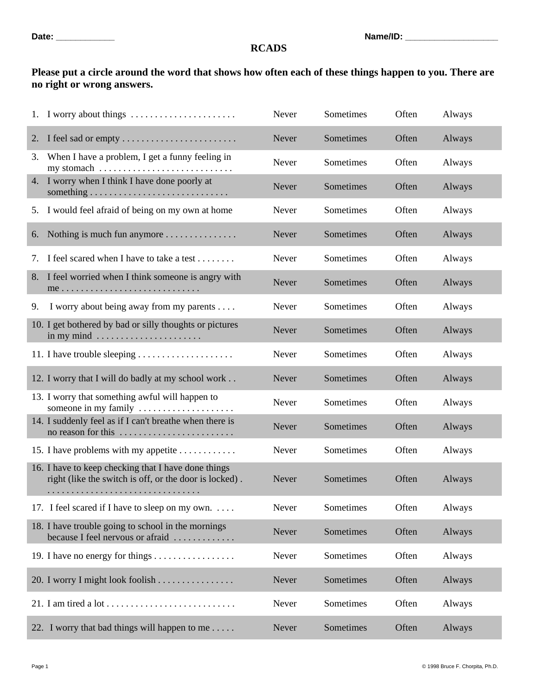## **Date: \_\_\_\_\_\_\_\_\_\_\_\_ Name/ID: \_\_\_\_\_\_\_\_\_\_\_\_\_\_\_\_\_\_\_**

## **RCADS**

## **Please put a circle around the word that shows how often each of these things happen to you. There are no right or wrong answers.**

|    | 1. I worry about things $\dots \dots \dots \dots \dots \dots \dots$                                                         | Never | Sometimes | Often | Always |
|----|-----------------------------------------------------------------------------------------------------------------------------|-------|-----------|-------|--------|
| 2. | I feel sad or empty                                                                                                         | Never | Sometimes | Often | Always |
| 3. | When I have a problem, I get a funny feeling in<br>my stomach $\dots \dots \dots \dots \dots \dots \dots \dots \dots \dots$ | Never | Sometimes | Often | Always |
|    | 4. I worry when I think I have done poorly at                                                                               | Never | Sometimes | Often | Always |
|    | 5. I would feel afraid of being on my own at home                                                                           | Never | Sometimes | Often | Always |
| 6. | Nothing is much fun anymore                                                                                                 | Never | Sometimes | Often | Always |
| 7. | I feel scared when I have to take a test                                                                                    | Never | Sometimes | Often | Always |
| 8. | I feel worried when I think someone is angry with                                                                           | Never | Sometimes | Often | Always |
| 9. | I worry about being away from my parents                                                                                    | Never | Sometimes | Often | Always |
|    | 10. I get bothered by bad or silly thoughts or pictures<br>in my mind $\dots \dots \dots \dots \dots \dots \dots$           | Never | Sometimes | Often | Always |
|    |                                                                                                                             | Never | Sometimes | Often | Always |
|    | 12. I worry that I will do badly at my school work                                                                          | Never | Sometimes | Often | Always |
|    | 13. I worry that something awful will happen to<br>someone in my family                                                     | Never | Sometimes | Often | Always |
|    | 14. I suddenly feel as if I can't breathe when there is<br>no reason for this                                               | Never | Sometimes | Often | Always |
|    | 15. I have problems with my appetite                                                                                        | Never | Sometimes | Often | Always |
|    | 16. I have to keep checking that I have done things<br>right (like the switch is off, or the door is locked).               | Never | Sometimes | Often | Always |
|    | 17. I feel scared if I have to sleep on my own                                                                              | Never | Sometimes | Often | Always |
|    | 18. I have trouble going to school in the mornings<br>because I feel nervous or afraid                                      | Never | Sometimes | Often | Always |
|    |                                                                                                                             | Never | Sometimes | Often | Always |
|    | 20. I worry I might look foolish                                                                                            | Never | Sometimes | Often | Always |
|    |                                                                                                                             | Never | Sometimes | Often | Always |
|    | 22. I worry that bad things will happen to me                                                                               | Never | Sometimes | Often | Always |